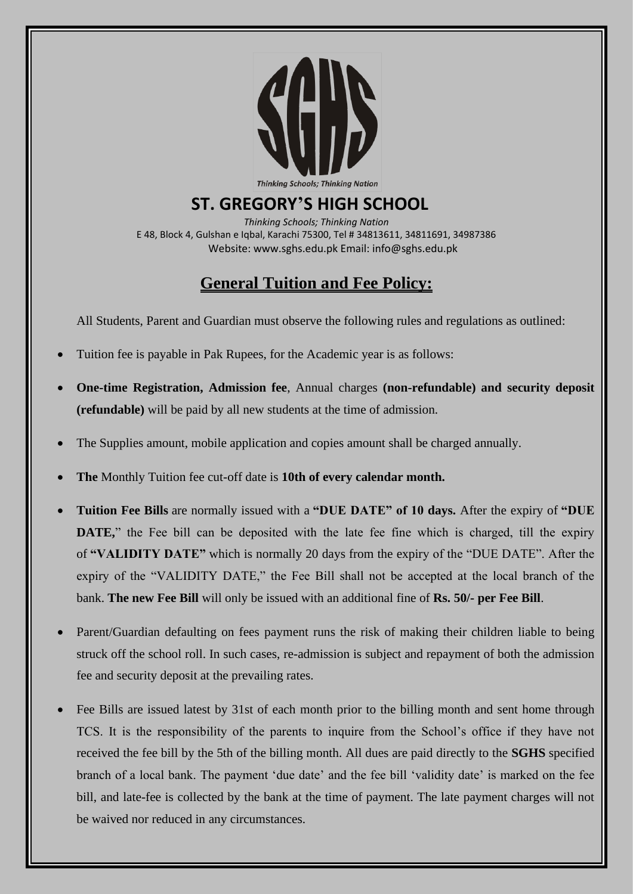

## **ST. GREGORY'S HIGH SCHOOL**

*Thinking Schools; Thinking Nation* E 48, Block 4, Gulshan e Iqbal, Karachi 75300, Tel # 34813611, 34811691, 34987386 Website: www.sghs.edu.pk Email: info@sghs.edu.pk

## **General Tuition and Fee Policy:**

All Students, Parent and Guardian must observe the following rules and regulations as outlined:

- Tuition fee is payable in Pak Rupees, for the Academic year is as follows:
- **One-time Registration, Admission fee**, Annual charges **(non-refundable) and security deposit (refundable)** will be paid by all new students at the time of admission.
- The Supplies amount, mobile application and copies amount shall be charged annually.
- **The** Monthly Tuition fee cut-off date is **10th of every calendar month.**
- **Tuition Fee Bills** are normally issued with a **"DUE DATE" of 10 days.** After the expiry of **"DUE DATE**," the Fee bill can be deposited with the late fee fine which is charged, till the expiry of **"VALIDITY DATE"** which is normally 20 days from the expiry of the "DUE DATE". After the expiry of the "VALIDITY DATE," the Fee Bill shall not be accepted at the local branch of the bank. **The new Fee Bill** will only be issued with an additional fine of **Rs. 50/- per Fee Bill**.
- Parent/Guardian defaulting on fees payment runs the risk of making their children liable to being struck off the school roll. In such cases, re-admission is subject and repayment of both the admission fee and security deposit at the prevailing rates.
- Fee Bills are issued latest by 31st of each month prior to the billing month and sent home through TCS. It is the responsibility of the parents to inquire from the School's office if they have not received the fee bill by the 5th of the billing month. All dues are paid directly to the **SGHS** specified branch of a local bank. The payment 'due date' and the fee bill 'validity date' is marked on the fee bill, and late-fee is collected by the bank at the time of payment. The late payment charges will not be waived nor reduced in any circumstances.